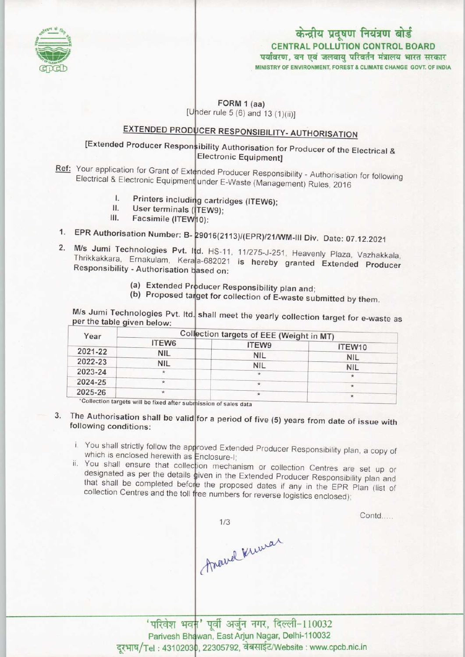

# केन्द्रीय प्रदूषण नियंत्रण बोर्ड CENTRAL POLLUTION CONTROL BOARD<br>पर्यावरण, वन एवं जलवाय परिवर्तन मंत्रालय भारत सरकार

MINISTRY OF ENVIRONMENT, FOREST & CLIMATE CHANGE GOVT, OF INDIA

#### FORM 1 (aa) [Under rule 5 (6) and 13  $(1)(ii)$ ]

## EXTENDED PRODUCER RESPONSIBILITY- AUTHORISATION

### [Extended Producer Responsibility Authorisation for Producer of the Electrical & Electronic Equipment]

Electrical & Electronic Equipment under E-Waste (Management) Rules, 2016 Ref: Your application for Grant of Extended Producer Responsibility - Authorisation for following

- I. Printers including cartridges (ITEW6);
- User terminals (TEW9);<br>Facsimile (ITEW10): I. Printers including<br>II. User terminals ( I. Printers includin<br>II. User terminals (<br>III. Facsimile (ITEW
- 
- III. Facsimile (ITEW<sub>10)</sub>:<br>1. EPR Authorisation Number: B- 29016(2113)/(EPR)/21/WM-III Div. Date: 07.12.2021
- 1. EPR Authorisation Number: B- 29016(2113)/(EPR)/21/WM-III Div. Date: 07.12.2021<br>2. M/s Jumi Technologies Pvt. Itd. HS-11, 11/275-J-251, Heavenly Plaza, Vazhakkala a-6 Cami Technologies PVI. III. HS-11, 11/2/5-J-251, Heavenly Plaza, Vazhakkala,<br>Thrikkakkara, Ernakulam, Kerala-682021 is hereby granted Extended Producer Responsibility - Authorisation based on:
	- (a) Extended Producer Responsibility plan and;
	- (b) Proposed target for collection of E-waste submitted by them.

M/s Jumi Technologies Pvt. Itd. shall meet the yearly collection target for e-waste as per the table given below:

| Collection targets of EEE (Weight in MT) |  |                                          |
|------------------------------------------|--|------------------------------------------|
| ITEW6                                    |  | ITEW <sub>10</sub>                       |
| <b>NIL</b>                               |  | <b>NIL</b>                               |
| <b>NIL</b>                               |  | <b>NIL</b>                               |
|                                          |  |                                          |
| $\star$                                  |  |                                          |
|                                          |  |                                          |
|                                          |  | <b>ITEW9</b><br><b>NIL</b><br><b>NIL</b> |

\*Collection targets will be fixed after submission of sales data

- 3. The Authorisation shall be valid for a period of five  $(5)$  years from date of issue with following conditions:
	- You shall strictly follow the approved Extended Producer Responsibility plan, a copy of which is enclosed herewith as Enclosure-I
	- You shall ensure that collection mechanism or collection Centres are set up or designated as per the details given in the Extended Producer Responsibility plan and that shall be completed before the proposed dates if any in the EPR Plan (list of collection Centres and the toll free numbers for reverse logistics enclosed)

Anavel Kuwar

Contd....

'परिवेश भवन' पूर्वी अर्जुन नगर, दिल्ली-110032 Parivesh Bhawan, East Arjun Nagar, Delhi-110032 المسموعة المسموعة المسموعة - न्याएक्डा Bridwan, East Arjun Nagar, Denn-110052<br>दूरभाष/Tel: 43102030, 22305792, वेबसाईट/Website : www.cpcb.nic.in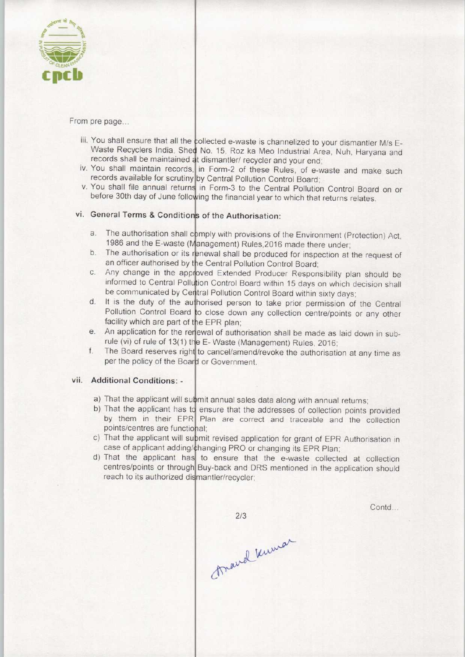

From pre page...

- iii. You shall ensure that all the collected e-waste is channelized to your dismantler M/s E-Waste Recyclers India, Shed No. 15, Roz ka Meo Industrial Area, Nuh, Haryana and records shall be maintained at dismantler/ recycler and your end
- iv. You shall maintain records, in Form-2 of these Rules, of e-waste and make such records available for scrutiny by Central Pollution Control Board
- v. You shall file annual returns in Form-3 to the Central Pollution Control Board on or before 30th day of June following the financial year to which that returns relates.

## vi. General Terms & Conditions of the Authorisation:

- is the authorisations of the Authorisation.<br>
a. The authorisation shall comply with provisions of the Environment (Protection) Act 1986 and the E-waste (Management) Rules, 2016 made there under
- 1986 and the E-waste (Management) Rules, 2016 made there under;<br>b. The authorisation or its renewal shall be produced for inspection at the request of an officer authorised by the Central Pollution Control Board; an officer authorised by the Central Pollution Control Board;<br>
c. Any change in the approved Extended Producer Responsibility plan should be
- informed to Central Pollution Control Board within 15 days on which decision shall be communicated by Central Pollution Control Board within sixty days be communicated by Central Pollution Control Board within sixty days;<br>d. It is the duty of the authorised person to take prior permission of the Centra
- Pollution Control Board to close down any collection centre/points or any other facility which are part of the EPR plan;
- facility which are part of the EPR plan;<br>e. An application for the rerewal of authorisation shall be made as laid down in subrule (vi) of rule of 13(1) the E- Waste (Management) Rules, 2016 to cancel/amend/revoke the authorisation at any time as<br>f. The Board reserves right to cancel/amend/revoke the authorisation at any time as
- per the policy of the Board or Government.

#### vii. Additional Conditions: -

- a) That the applicant will submit annual sales data along with annual returns;
- b) That the applicant has to ensure that the addresses of collection points provided by them in their EPR Plan are correct and traceable and the collection points/centres are functional;
- c) That the applicant will supmit revised application for grant of EPR Authorisation in case of applicant adding/changing PRO or changing its EPR Plan
- d) That the applicant has to ensure that the e-waste collected at collection centres/points or through Buy-back and DRS mentioned in the application should reach to its authorized dismantler/recycler;

 $2/3$ 

Contd.

march knewar